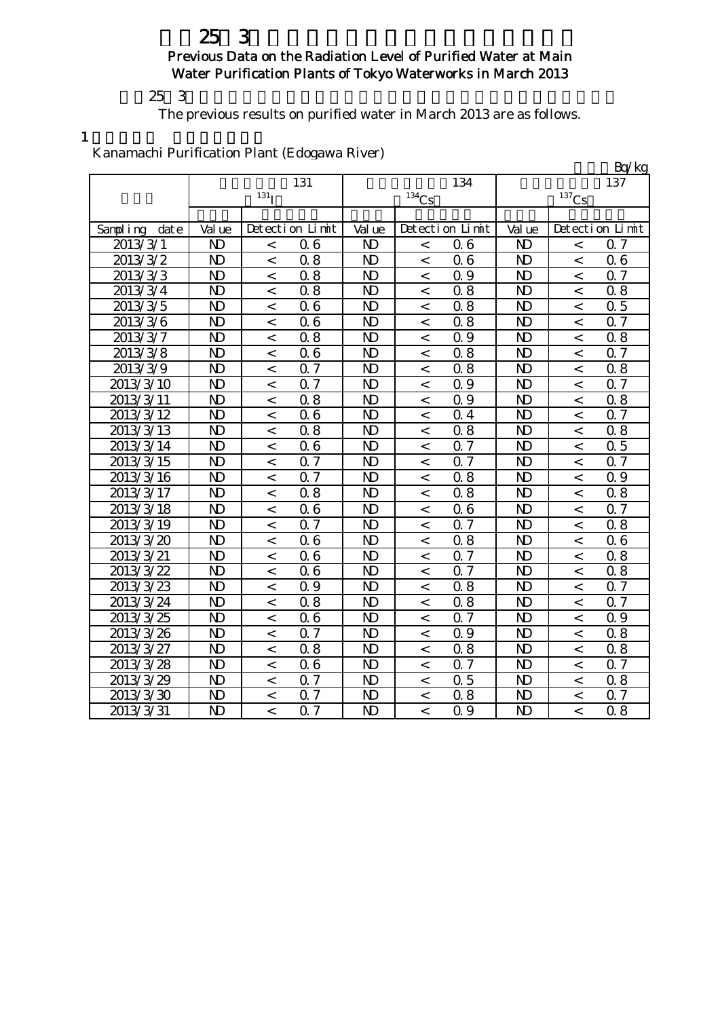## $25\,3$ Previous Data on the Radiation Level of Purified Water at Main Water Purification Plants of Tokyo Waterworks in March 2013

### $253$

The previous results on purified water in March 2013 are as follows.

1

## Kanamachi Purification Plant (Edogawa River)

|               |                |                          |                  |                |                          |                 |                |                          | Bq/kg            |
|---------------|----------------|--------------------------|------------------|----------------|--------------------------|-----------------|----------------|--------------------------|------------------|
|               |                |                          | 131              |                |                          | 134             |                |                          | 137              |
|               |                | $131$ <sup>T</sup>       |                  |                | 134C <sub>S</sub>        |                 |                | $137$ Cs                 |                  |
|               |                |                          |                  |                |                          |                 |                |                          |                  |
| Sampling date | Val ue         |                          | Detection Limit  | Val ue         |                          | Detection Limit | Val ue         |                          | Detection Limit  |
| 2013/3/1      | $\mathbf{D}$   | $\,<$                    | 06               | N <sub>D</sub> | $\overline{a}$           | 06              | N <sub>D</sub> | $\,<$                    | 0.7              |
| 2013/3/2      | $\mathbf{D}$   | $\,<\,$                  | 0.8              | $\mathbf{D}$   | $\,<$                    | 06              | $\mathbf{D}$   | $\overline{\phantom{a}}$ | 06               |
| 2013/3/3      | N <sub>D</sub> | $\overline{\phantom{0}}$ | 0.8              | $\mathbf{D}$   | $\lt$                    | 0.9             | N <sub>D</sub> | $\overline{\phantom{a}}$ | 0.7              |
| 2013/3/4      | $\mathbf{D}$   | $\,<\,$                  | 0.8              | $\mathbf{D}$   | $\,<\,$                  | 0.8             | N <sub>D</sub> | $\prec$                  | 0.8              |
| 2013/3/5      | $\mathbf{D}$   | $\overline{\phantom{0}}$ | 06               | $\mathbf{D}$   | $\overline{\phantom{0}}$ | 0.8             | N <sub>D</sub> | $\overline{\phantom{a}}$ | 0.5              |
| 2013/3/6      | $\overline{M}$ | $\lt$                    | 06               | N <sub>D</sub> | $\lt$                    | 0.8             | N <sub>D</sub> | $\,<$                    | Q 7              |
| 2013/3/7      | N <sub>D</sub> | $\,<\,$                  | 0.8              | $\mathbf{D}$   | $\,<\,$                  | 0.9             | N <sub>D</sub> | $\overline{\phantom{0}}$ | 0.8              |
| 2013/3/8      | $\mathbf{D}$   | $\,<$                    | 06               | $\mathbf{D}$   | $\,<$                    | 0.8             | N <sub>D</sub> | $\,<$                    | Q 7              |
| 2013/3/9      | $\mathbf{D}$   | $\,<\,$                  | 0.7              | $\mathbf{D}$   | $\,<\,$                  | 0.8             | N <sub>D</sub> | $\,<$                    | 0.8              |
| 2013/3/10     | $\mathbf{D}$   | $\,<\,$                  | 0.7              | $\mathbf{D}$   | $\,<$                    | 0.9             | $\mathbf{N}$   | $\,<$                    | 0.7              |
| 2013/3/11     | $\mathbf{D}$   | $\,<$                    | 0.8              | N <sub>D</sub> | $\,<$                    | 0.9             | N <sub>D</sub> | $\,<$                    | 0.8              |
| 2013/3/12     | $\mathbf{D}$   | $\lt$                    | 06               | N <sub>D</sub> | $\lt$                    | 0.4             | N <sub>D</sub> | $\overline{\phantom{0}}$ | 0.7              |
| 2013/3/13     | $\mathbf{D}$   | $\,<$                    | 0.8              | $\mathbf{D}$   | $\,<\,$                  | 0.8             | N <sub>D</sub> | $\,<$                    | 0.8              |
| 2013/3/14     | $\mathbf{D}$   | $\overline{\phantom{a}}$ | 06               | N <sub>D</sub> | $\overline{\phantom{a}}$ | 0.7             | $\mathbf{N}$   | $\overline{\phantom{0}}$ | 0.5              |
| 2013/3/15     | $\mathbf{D}$   | $\,<$                    | Q 7              | $\mathbf{D}$   | $\,<$                    | 0.7             | $\mathbf{N}$   | $\,<$                    | Q 7              |
| 2013/3/16     | $\mathbf{D}$   | $\,<\,$                  | 0.7              | $\mathbf{D}$   | $\,<\,$                  | 0.8             | N <sub>D</sub> | $\,<$                    | 0.9              |
| 2013/3/17     | $\mathbf{D}$   | $\overline{\phantom{a}}$ | 0.8              | $\mathbf{D}$   | $\overline{\phantom{0}}$ | 0.8             | $\mathbf{D}$   | $\overline{\phantom{a}}$ | 0.8              |
| 2013/3/18     | N <sub>D</sub> | $\,<$                    | 06               | $\mathbf{D}$   | $\,<$                    | 06              | $\mathbf{D}$   | $\prec$                  | 0.7              |
| 2013/3/19     | $\mathbf{D}$   | $\,<\,$                  | $0.\overline{7}$ | N <sub>D</sub> | $\lt$                    | Q 7             | $\mathbf{D}$   | $\prec$                  | $0.\overline{8}$ |
| 2013/3/20     | $\mathbf{D}$   | $\,<\,$                  | 06               | N <sub>D</sub> | $\,<$                    | 0.8             | $\mathbf{D}$   | $\,<$                    | 06               |
| 2013/3/21     | $\mathbf{D}$   | $\,<$                    | 06               | $\mathbf{D}$   | $\,<$                    | 0.7             | $\mathbf{D}$   | $\,<$                    | 0.8              |
| 2013/3/22     | $\mathbf{D}$   | $\,<$                    | 06               | $\mathbf{D}$   | $\,<$                    | 0.7             | $\mathbf{D}$   | $\,<$                    | 0.8              |
| 2013/3/23     | $\mathbf{D}$   | $\,<\,$                  | Q 9              | $\mathbf{D}$   | $\,<\,$                  | 0.8             | $\mathbf{D}$   | $\,<\,$                  | 0.7              |
| 2013/3/24     | N <sub>D</sub> | $\,<\,$                  | 0.8              | $\mathbf{D}$   | $\,<$                    | 0.8             | $\mathbf{D}$   | $\overline{\phantom{0}}$ | 0.7              |
| 2013/3/25     | $\mathbf{D}$   | $\lt$                    | 06               | $\mathbf{D}$   | $\lt$                    | 0.7             | $\mathbf{D}$   | $\overline{\phantom{0}}$ | 0.9              |
| 2013/3/26     | $\mathbf{D}$   | $\,<\,$                  | 0.7              | $\mathbf{D}$   | $\,<$                    | 0.9             | $\mathbf{D}$   | $\,<$                    | 0.8              |
| 2013/3/27     | N <sub>D</sub> | $\lt$                    | 0.8              | $\mathbf{D}$   | $\lt$                    | 0.8             | $\mathbf{D}$   | $\overline{\phantom{0}}$ | 0.8              |
| 2013/3/28     | $\mathbf{D}$   | $\lt$                    | 06               | $\mathbf{D}$   | $\lt$                    | 0.7             | $\mathbf{D}$   | $\prec$                  | 0.7              |
| 2013/3/29     | $\mathbf{D}$   | $\overline{\phantom{0}}$ | $\overline{0.7}$ | $\mathbf{D}$   | $\overline{\phantom{0}}$ | 0.5             | $\mathbf{D}$   | $\overline{\phantom{a}}$ | 0.8              |
| 2013/3/30     | $\mathbf{D}$   | $\,<\,$                  | 0.7              | N <sub>D</sub> | $\lt$                    | 0.8             | $\mathbf{D}$   | $\prec$                  | 0.7              |
| 2013/3/31     | N <sub>D</sub> | $\overline{\phantom{a}}$ | 0.7              | N <sub>D</sub> | $\overline{a}$           | Q 9             | N <sub>D</sub> | $\overline{a}$           | $0.\overline{8}$ |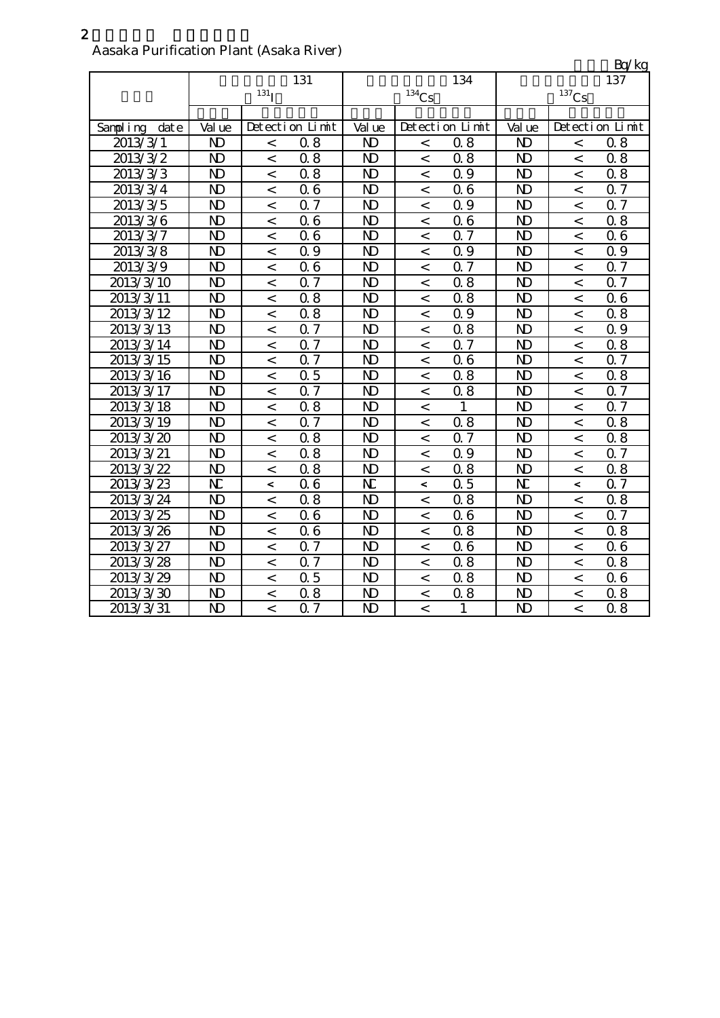| Aasana I urintatibii I iailt (Asana Kiver) |                |                  |                  |                |                          |                 |                     |                          | Bq/kg           |
|--------------------------------------------|----------------|------------------|------------------|----------------|--------------------------|-----------------|---------------------|--------------------------|-----------------|
|                                            |                |                  | 131              |                |                          | 134             | 137                 |                          |                 |
|                                            |                | 131 <sub>I</sub> |                  | $134$ Cs       |                          |                 | $^{137}\mathrm{Cs}$ |                          |                 |
|                                            |                |                  |                  |                |                          |                 |                     |                          |                 |
| Sampling<br>date                           | Val ue         |                  | Detection Limit  | Val ue         |                          | Detection Limit | Val ue              |                          | Detection Limit |
| 2013/3/1                                   | $\mathbf{D}$   | $\,<$            | 0.8              | N <sub>D</sub> | $\,<$                    | 0.8             | $\mathbf{D}$        | $\,<$                    | 0.8             |
| 2013/3/2                                   | $\mathbf{D}$   | $\,<\,$          | 0.8              | N <sub>D</sub> | $\,<\,$                  | 0.8             | $\mathbf{D}$        | $\lt$                    | 0.8             |
| 2013/3/3                                   | N <sub>D</sub> | $\,<\,$          | 0.8              | N <sub>D</sub> | $\,<\,$                  | 0.9             | N <sub>D</sub>      | $\,<\,$                  | 0.8             |
| 2013/3/4                                   | $\mathbf{D}$   | $\,<\,$          | 06               | $\mathbf{D}$   | $\,<$                    | 06              | $\mathbf{D}$        | $\,<$                    | 0.7             |
| 2013/3/5                                   | $\mathbf{D}$   | $\,<$            | 0.7              | N <sub>D</sub> | $\,<$                    | 0.9             | N <sub>D</sub>      | $\,<$                    | Q 7             |
| 2013/3/6                                   | $\mathbf{D}$   | $\,<$            | 06               | $\mathbf{D}$   | $\,<$                    | 06              | $\mathbf{D}$        | $\,<$                    | 0.8             |
| 2013/3/7                                   | $\mathbf{D}$   | $\,<$            | 06               | $\mathbf{D}$   | $\,<$                    | 0.7             | $\mathbf{D}$        | $\,<$                    | 06              |
| 2013/3/8                                   | $\mathbf{D}$   | $\,<\,$          | 0.9              | N <sub>D</sub> | $\,<\,$                  | 0.9             | N <sub>D</sub>      | $\,<\,$                  | 0.9             |
| 2013/3/9                                   | $\mathbf{D}$   | $\,<$            | 06               | $\mathbf{D}$   | $\,<\,$                  | 0.7             | $\mathbf{D}$        | $\,<\,$                  | 0.7             |
| 2013/3/10                                  | $\mathbf{D}$   | $\,<$            | Q 7              | $\mathbf{D}$   | $\,<\,$                  | 0.8             | $\mathbf{D}$        | $\overline{\phantom{0}}$ | 0.7             |
| 2013/3/11                                  | $\mathbf{D}$   | $\,<\,$          | 0.8              | $\mathbf{D}$   | $\,<\,$                  | 0.8             | $\mathbf{D}$        | $\,<\,$                  | 06              |
| 2013/3/12                                  | $\mathbf{D}$   | $\,<$            | 0.8              | $\mathbf{D}$   | $\,<$                    | Q 9             | $\mathbf{D}$        | $\,<$                    | 0.8             |
| 2013/3/13                                  | N <sub>D</sub> | $\lt$            | 0.7              | N <sub>D</sub> | $\lt$                    | 0.8             | N <sub>D</sub>      | $\overline{\phantom{a}}$ | 0.9             |
| 2013/3/14                                  | $\mathbf{D}$   | $\,<$            | 0.7              | $\mathbf{D}$   | $\,<$                    | 0.7             | $\mathbf{D}$        | $\,<$                    | 0.8             |
| 2013/3/15                                  | $\mathbf{D}$   | $\,<$            | $\overline{0.7}$ | $\mathbf{D}$   | $\overline{\phantom{0}}$ | 06              | $\mathbf{D}$        | $\overline{\phantom{a}}$ | 0.7             |
| 2013/3/16                                  | $\mathbf{D}$   | $\,<$            | 0.5              | N <sub>D</sub> | $\overline{\phantom{0}}$ | 0.8             | N <sub>D</sub>      | $\,<$                    | 0.8             |
| 2013/3/17                                  | $\mathbf{D}$   | $\,<$            | 0.7              | $\mathbf{D}$   | $\,<\,$                  | 0.8             | $\mathbf{D}$        | $\,<$                    | 0.7             |
| 2013/3/18                                  | $\mathbf{D}$   | $\,<\,$          | 0.8              | N <sub>D</sub> | $\lt$                    | 1               | $\mathbf{D}$        | $\overline{\phantom{0}}$ | 0.7             |
| 2013/3/19                                  | $\mathbf{D}$   | $\,<$            | 0.7              | N <sub>D</sub> | $\,<$                    | 0.8             | $\mathbf{D}$        | $\overline{\phantom{a}}$ | 0.8             |
| 2013/3/20                                  | $\mathbf{D}$   | $\,<$            | 0.8              | $\mathbf{D}$   | $\lt$                    | 0.7             | $\mathbf{D}$        | $\,<$                    | 0.8             |
| 2013/3/21                                  | $\mathbf{D}$   | $\,<$            | 0.8              | N <sub>D</sub> | $\,<$                    | 0.9             | $\mathbf{D}$        | $\,<\,$                  | 0.7             |
| 2013/3/22                                  | $\mathbf{D}$   | $\,<\,$          | 0.8              | $\mathbf{D}$   | $\,<\,$                  | 0.8             | N <sub>D</sub>      | $\,<$                    | 0.8             |
| 2013/3/23                                  | N              | $\,<\,$          | 06               | N              | $\,<\,$                  | 0.5             | N                   | $\overline{\phantom{a}}$ | 0.7             |
| 2013/3/24                                  | $\mathbf{D}$   | $\,<\,$          | 0.8              | N <sub>D</sub> | $\,<\,$                  | 0.8             | N <sub>D</sub>      | $\,<$                    | 0.8             |
| 2013/3/25                                  | $\mathbf{D}$   | $\,<\,$          | 06               | $\mathbf{D}$   | $\,<$                    | 06              | N <sub>D</sub>      | $\,<\,$                  | 0.7             |
| 2013/3/26                                  | $\mathbf{D}$   | $\,<\,$          | 06               | $\mathbf{D}$   | $\,<\,$                  | 0.8             | $\mathbf{D}$        | $\,<\,$                  | 0.8             |
| 2013/3/27                                  | $\mathbf{D}$   | $\,<\,$          | 0.7              | N <sub>D</sub> | $\,<\,$                  | 06              | $\mathbf{D}$        | $\,<\,$                  | 06              |
| 2013/3/28                                  | $\mathbf{D}$   | $\,<\,$          | 0.7              | $\mathbf{D}$   | $\,<\,$                  | 0.8             | $\mathbf{D}$        | $\,<\,$                  | 0.8             |
| 2013/3/29                                  | $\mathbf{D}$   | $\,<\,$          | 0.5              | $\mathbf{D}$   | $\lt$                    | 0.8             | $\mathbf{D}$        | $\lt$                    | 06              |
| 2013/3/30                                  | $\mathbf{D}$   | $\,<$            | 0.8              | N <sub>D</sub> | $\,<\,$                  | 0.8             | N <sub>D</sub>      | $\,<$                    | 0.8             |
| 2013/3/31                                  | $\mathbf{D}$   | $\,<$            | 0.7              | $\mathbf{D}$   | $\,<$                    | $\mathbf{1}$    | $\mathbf{D}$        | $\,<$                    | 0.8             |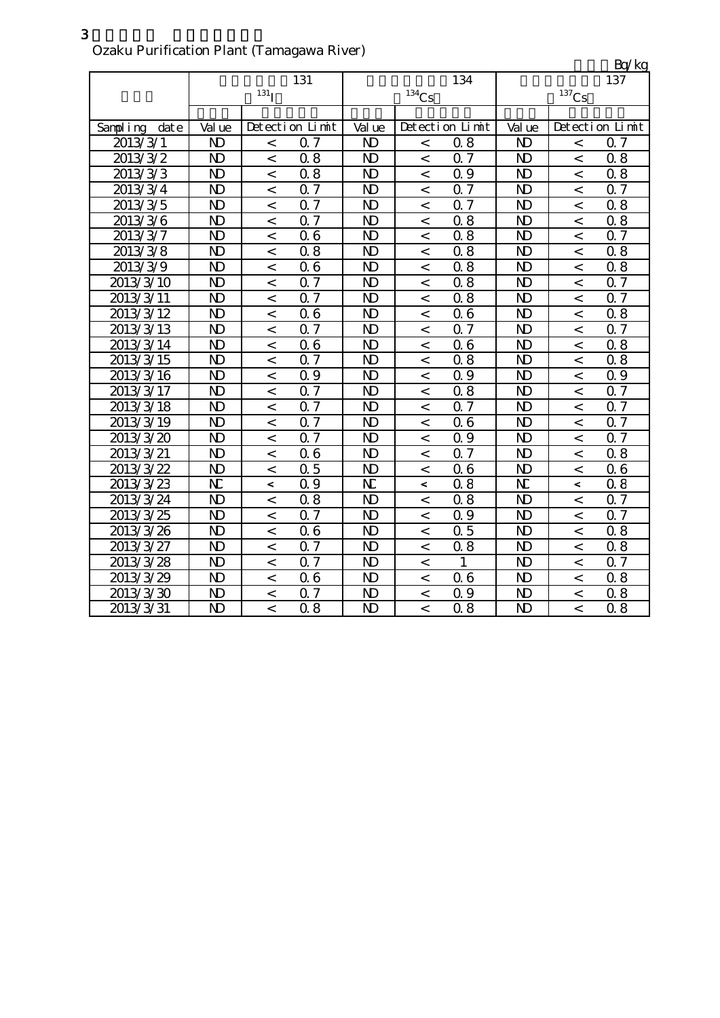|               |                |                  |                 |                       |                     |                  |                |                          | Bq/kg            |
|---------------|----------------|------------------|-----------------|-----------------------|---------------------|------------------|----------------|--------------------------|------------------|
|               |                |                  | 131             |                       |                     | 134              |                |                          | 137              |
|               |                | 131 <sub>I</sub> |                 |                       | $^{134}\mathrm{Cs}$ |                  |                | $137$ Cs                 |                  |
|               |                |                  |                 |                       |                     |                  |                |                          |                  |
| Sampling date | Val ue         |                  | Detection Limit | Val ue                |                     | Detection Limit  | Val ue         |                          | Detection Limit  |
| 2013/3/1      | N <sub>D</sub> | $\,<\,$          | 0.7             | N <sub>D</sub>        | $\,<\,$             | 0.8              | N <sub>D</sub> | $\,<\,$                  | 0.7              |
| 2013/3/2      | N <sub>D</sub> | $\,<\,$          | 0.8             | N <sub>D</sub>        | $\lt$               | Q <sub>7</sub>   | $\mathbf{D}$   | $\,<\,$                  | 0.8              |
| 2013/3/3      | N <sub>D</sub> | $\,<\,$          | 0.8             | $\mathbf{D}$          | $\,<\,$             | 0.9              | $\mathbf{D}$   | $\,<\,$                  | 0.8              |
| 2013/3/4      | $\mathbf{D}$   | $\,<$            | 0.7             | N <sub>D</sub>        | $\,<$               | 0.7              | $\mathbf{D}$   | $\,<\,$                  | 0.7              |
| 2013/3/5      | $\mathbf{D}$   | $\,<\,$          | 0.7             | N <sub>D</sub>        | $\,<$               | 0.7              | $\mathbf{D}$   | $\,<\,$                  | 0.8              |
| 2013/3/6      | N <sub>D</sub> | $\lt$            | 0.7             | N <sub>D</sub>        | $\lt$               | 0.8              | $\mathbf{D}$   | $\overline{a}$           | 0.8              |
| 2013/3/7      | N <sub>D</sub> | $\,<$            | 06              | N <sub>D</sub>        | $\lt$               | 0.8              | N <sub>D</sub> | $\lt$                    | 0.7              |
| 2013/3/8      | N <sub>D</sub> | $\,<\,$          | 0.8             | N <sub>D</sub>        | $\lt$               | 0.8              | $\mathbf{D}$   | $\lt$                    | 0.8              |
| 2013/3/9      | N <sub>D</sub> | $\,<$            | 06              | N <sub>D</sub>        | $\,<$               | $\overline{0.8}$ | $\mathbf{D}$   | $\,<$                    | 0.8              |
| 2013/3/10     | $\mathbf{D}$   | $\,<\,$          | 0.7             | N <sub>D</sub>        | $\,<$               | 0.8              | $\mathbf{D}$   | $\,<\,$                  | 0.7              |
| 2013/3/11     | $\mathbf{D}$   | $\,<$            | 0.7             | N <sub>D</sub>        | $\,<$               | 0.8              | $\mathbf{D}$   | $\,<$                    | 0.7              |
| 2013/3/12     | N <sub>D</sub> | $\,<$            | 06              | $\mathbf{D}$          | $\,<$               | 06               | $\mathbf{D}$   | $\,<$                    | 0.8              |
| 2013/3/13     | N <sub>D</sub> | $\lt$            | 0.7             | N <sub>D</sub>        | $\lt$               | 0.7              | N <sub>D</sub> | $\lt$                    | 0.7              |
| 2013/3/14     | $\mathbf{D}$   | $\,<\,$          | 06              | N <sub>D</sub>        | $\,<\,$             | 06               | $\mathbf{D}$   | $\,<$                    | 0.8              |
| 2013/3/15     | N <sub>D</sub> | $\,<$            | Q 7             | $\mathbf{D}$          | $\,<$               | 0.8              | $\mathbf{D}$   | $\,<$                    | 0.8              |
| 2013/3/16     | N <sub>D</sub> | $\,<\,$          | 0.9             | N <sub>D</sub>        | $\,<$               | Q 9              | $\mathbf{N}$   | $\,<$                    | 0.9              |
| 2013/3/17     | N <sub>D</sub> | $\prec$          | 0.7             | N <sub>D</sub>        | $\,<\,$             | 0.8              | $\mathbf{D}$   | $\overline{a}$           | $\overline{0.7}$ |
| 2013/3/18     | N <sub>D</sub> | $\,<$            | 0.7             | N <sub>D</sub>        | $\,<\,$             | 0.7              | N <sub>D</sub> | $\overline{\phantom{a}}$ | 0.7              |
| 2013/3/19     | N <sub>D</sub> | $\lt$            | Q <sub>7</sub>  | N <sub>D</sub>        | $\lt$               | 06               | $\mathbf{D}$   | $\lt$                    | 0.7              |
| 2013/3/20     | $\mathbf{D}$   | $\,<\,$          | 0.7             | N <sub>D</sub>        | $\,<\,$             | 0.9              | N <sub>D</sub> | $\,<\,$                  | 0.7              |
| 2013/3/21     | N <sub>D</sub> | $\,<\,$          | 06              | N <sub>D</sub>        | $\,<\,$             | Q 7              | $\mathbf{D}$   | $\,<\,$                  | 0.8              |
| 2013/3/22     | N <sub>D</sub> | $\,<$            | 0.5             | $\mathbf{D}$          | $\,<$               | 06               | $\mathbf{D}$   | $\,<\,$                  | 06               |
| 2013/3/23     | N              | $\,<$            | $Q_{0}$         | $\overline{\text{N}}$ | $\,<$               | 0.8              | N              | $\,<\,$                  | 0.8              |
| 2013/3/24     | N <sub>D</sub> | $\,<\,$          | 0.8             | $\mathbf{D}$          | $\,<\,$             | 0.8              | $\mathbf{D}$   | $\,<\,$                  | 0.7              |
| 2013/3/25     | $\mathbf{D}$   | $\,<\,$          | Q <sub>7</sub>  | $\mathbf{D}$          | $\lt$               | Q 9              | $\mathbf{D}$   | $\,<\,$                  | 0.7              |
| 2013/3/26     | N <sub>D</sub> | $\,<$            | 06              | $\mathbf{D}$          | $\,<\,$             | 0.5              | $\mathbf{D}$   | $\lt$                    | 0.8              |
| 2013/3/27     | $\mathbf{D}$   | $\,<$            | 0.7             | N <sub>D</sub>        | $\,<\,$             | 0.8              | N <sub>D</sub> | $\,<\,$                  | 0.8              |
| 2013/3/28     | N <sub>D</sub> | $\,<\,$          | 0.7             | $\mathbf{D}$          | $\,<$               | $\mathbf{1}$     | $\mathbf{D}$   | $\,<\,$                  | 0.7              |
| 2013/3/29     | N <sub>D</sub> | $\,<$            | 06              | $\mathbf{D}$          | $\,<\,$             | 06               | $\mathbf{D}$   | $\,<$                    | 0.8              |
| 2013/3/30     | $\mathbf{D}$   | $\,<\,$          | 0.7             | $\mathbf{D}$          | $\,<\,$             | 0.9              | N <sub>D</sub> | $\,<\,$                  | 0.8              |
| 2013/3/31     | N <sub>D</sub> | $\overline{a}$   | 0.8             | $\mathbf{D}$          | $\overline{a}$      | $\overline{0.8}$ | $\mathbf{D}$   | $\overline{a}$           | 0.8              |

Ozaku Purification Plant (Tamagawa River)

3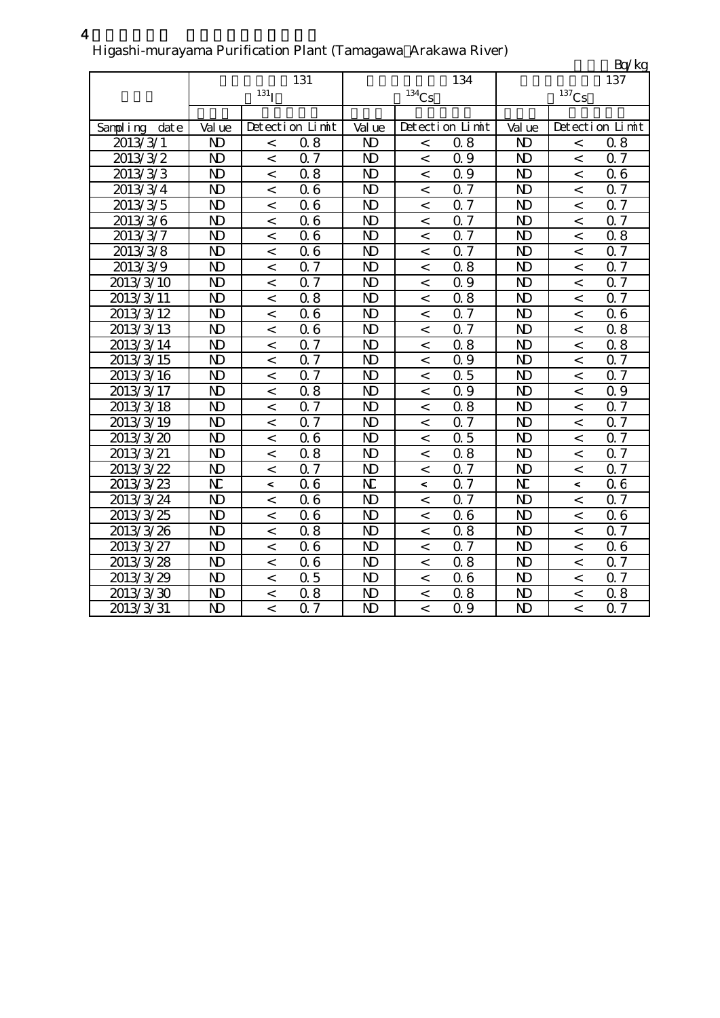### Higashi-murayama Purification Plant (Tamagawa Arakawa River)

|                  |                |                    |                  |                       |                          |                 |                |                          | Bq/kg           |
|------------------|----------------|--------------------|------------------|-----------------------|--------------------------|-----------------|----------------|--------------------------|-----------------|
|                  |                |                    | 131              |                       |                          | 134             |                |                          | 137             |
|                  |                | $131$ <sup>I</sup> |                  |                       | $134$ Cs                 |                 |                | $^{137}\mathrm{Cs}$      |                 |
|                  |                |                    |                  |                       |                          |                 |                |                          |                 |
| Sampling<br>date | Val ue         |                    | Detection Limit  | Val ue                |                          | Detection Limit | Val ue         |                          | Detection Limit |
| 2013/3/1         | N <sub>D</sub> | $\,<$              | 0.8              | $\mathbf{D}$          | $\,<$                    | 0.8             | $\mathbf{N}$   | $\overline{\phantom{a}}$ | 0.8             |
| 2013/3/2         | $\mathbf{D}$   | $\,<\,$            | 0.7              | N <sub>D</sub>        | $\,<$                    | 0.9             | N <sub>D</sub> | $\,<$                    | 0.7             |
| 2013/3/3         | N <sub>D</sub> | $\,<\,$            | 0.8              | N <sub>D</sub>        | $\,<\,$                  | 0.9             | N <sub>D</sub> | $\,<\,$                  | 06              |
| 2013/3/4         | N <sub>D</sub> | $\,<\,$            | 06               | $\mathbf{D}$          | $\,<\,$                  | 0.7             | N <sub>D</sub> | $\lt$                    | 0.7             |
| 2013/3/5         | N <sub>D</sub> | $\,<$              | 06               | N <sub>D</sub>        | $\lt$                    | 0.7             | N <sub>D</sub> | $\lt$                    | 0.7             |
| 2013/3/6         | N <sub>D</sub> | $\,<\,$            | 06               | $\mathbf{D}$          | $\,<$                    | 0.7             | N <sub>D</sub> | $\,<\,$                  | 0.7             |
| 2013/3/7         | N <sub>D</sub> | $\,<$              | 06               | $\mathbf{D}$          | $\,<\,$                  | 0.7             | N <sub>D</sub> | $\,<\,$                  | 0.8             |
| 2013/3/8         | N <sub>D</sub> | $\,<\,$            | 06               | N <sub>D</sub>        | $\,<\,$                  | 0.7             | N <sub>D</sub> | $\,<\,$                  | 0.7             |
| 2013/3/9         | $\mathbf{D}$   | $\,<$              | $\overline{0.7}$ | N <sub>D</sub>        | $\,<$                    | 0.8             | N <sub>D</sub> | $\overline{\phantom{a}}$ | 0.7             |
| 2013/3/10        | $\overline{D}$ | $\lt$              | $\overline{0.7}$ | N <sub>D</sub>        | $\,<$                    | Q 9             | N <sub>D</sub> | $\overline{\phantom{a}}$ | 0.7             |
| 2013/3/11        | $\overline{D}$ | $\lt$              | 0.8              | N <sub>D</sub>        | $\lt$                    | 0.8             | N <sub>D</sub> | $\prec$                  | 0.7             |
| 2013/3/12        | $\overline{D}$ | $\,<\,$            | 06               | N <sub>D</sub>        | $\,<\,$                  | Q 7             | N <sub>D</sub> | $\lt$                    | 06              |
| 2013/3/13        | N <sub>D</sub> | $\,<\,$            | 06               | N <sub>D</sub>        | $\,<$                    | 0.7             | N <sub>D</sub> | $\,<\,$                  | 0.8             |
| 2013/3/14        | $\mathbf{D}$   | $\,<$              | 0.7              | N <sub>D</sub>        | $\,<$                    | 0.8             | N <sub>D</sub> | $\,<$                    | 0.8             |
| 2013/3/15        | N <sub>D</sub> | $\,<$              | 0.7              | N <sub>D</sub>        | $\,<$                    | 0.9             | N <sub>D</sub> | $\,<$                    | 0.7             |
| 2013/3/16        | N <sub>D</sub> | $\,<$              | 0.7              | N <sub>D</sub>        | $\,<$                    | 0.5             | $\mathbf{N}$   | $\,<$                    | 0.7             |
| 2013/3/17        | N <sub>D</sub> | $\,<$              | 0.8              | N <sub>D</sub>        | $\,<$                    | 0.9             | N <sub>D</sub> | $\,<\,$                  | 0.9             |
| 2013/3/18        | $\overline{D}$ | $\,<\,$            | 0.7              | $\mathbf{D}$          | $\lt$                    | 0.8             | N <sub>D</sub> | $\overline{\phantom{0}}$ | 0.7             |
| 2013/3/19        | N <sub>D</sub> | $\lt$              | 0.7              | N <sub>D</sub>        | $\lt$                    | Q <sub>7</sub>  | N <sub>D</sub> | $\lt$                    | 0.7             |
| 2013/3/20        | N <sub>D</sub> | $\,<$              | 06               | $\mathbf{D}$          | $\,<$                    | 0.5             | $\mathbf{D}$   | $\,<$                    | 0.7             |
| 2013/3/21        | N <sub>D</sub> | $\,<$              | 0.8              | $\mathbf{D}$          | $\,<$                    | 0.8             | N <sub>D</sub> | $\,<\,$                  | Q 7             |
| 2013/3/22        | N <sub>D</sub> | $\,<\,$            | 0.7              | N <sub>D</sub>        | $\,<$                    | 0.7             | N <sub>D</sub> | $\,<\,$                  | Q 7             |
| 2013/3/23        | N              | $\,<$              | Q <sub>6</sub>   | $\overline{\text{N}}$ | $\overline{\phantom{a}}$ | Q 7             | N              | $\overline{\phantom{a}}$ | 06              |
| 2013/3/24        | $\mathbf{D}$   | $\,<\,$            | 06               | N <sub>D</sub>        | $\,<\,$                  | 0.7             | $\mathbf{D}$   | $\overline{\phantom{a}}$ | 0.7             |
| 2013/3/25        | N <sub>D</sub> | $\lt$              | 06               | N <sub>D</sub>        | $\lt$                    | 06              | N <sub>D</sub> | $\lt$                    | 06              |
| 2013/3/26        | N <sub>D</sub> | $\lt$              | 0.8              | N <sub>D</sub>        | $\,<\,$                  | 0.8             | $\mathbf{D}$   | $\overline{\phantom{a}}$ | 0.7             |
| 2013/3/27        | N <sub>D</sub> | $\lt$              | 06               | N <sub>D</sub>        | $\overline{a}$           | Q 7             | $\mathbf{D}$   | $\overline{a}$           | 06              |
| 2013/3/28        | N <sub>D</sub> | $\,<$              | 06               | N <sub>D</sub>        | $\,<$                    | 0.8             | $\mathbf{D}$   | $\,<\,$                  | 0.7             |
| 2013/3/29        | $\mathbf{D}$   | $\,<\,$            | 0.5              | $\mathbf{D}$          | $\,<\,$                  | 06              | $\mathbf{D}$   | $\,<$                    | 0.7             |
| 2013/3/30        | $\mathbf{D}$   | $\,<$              | 0.8              | $\mathbf{D}$          | $\,<\,$                  | 0.8             | $\mathbf{D}$   | $\,<\,$                  | 0.8             |
| 2013/3/31        | $\mathbf{D}$   | $\,<$              | 0.7              | N <sub>D</sub>        | $\,<$                    | Q 9             | N <sub>D</sub> | $\lt$                    | Q 7             |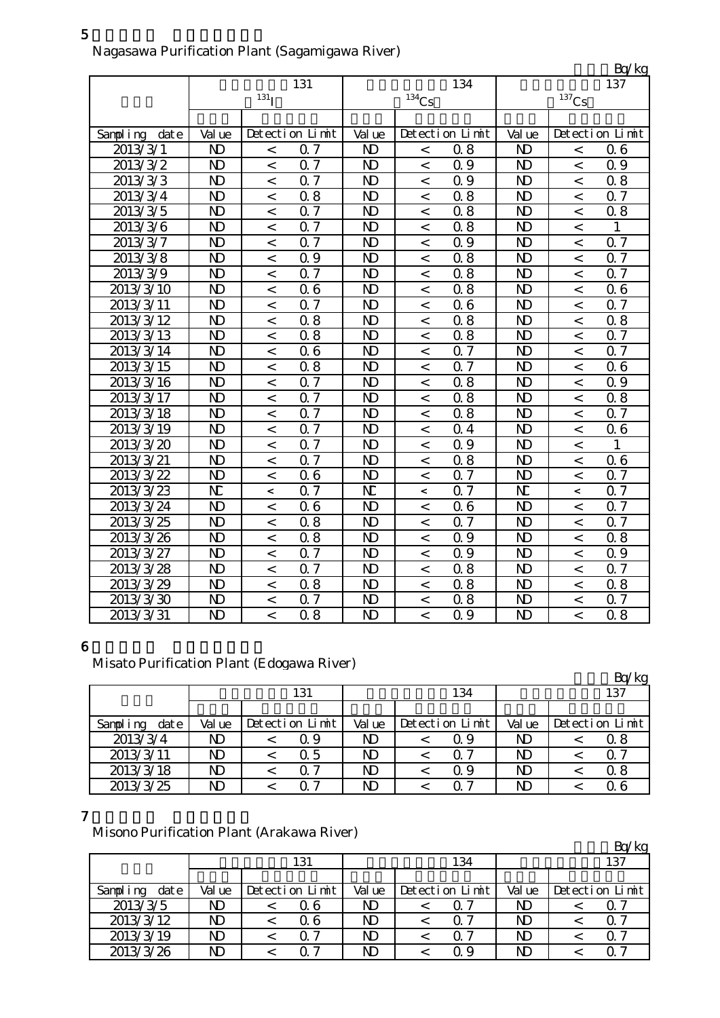|               |                |                  |                  |                |                     |                 |                |                | Bq/kg           |
|---------------|----------------|------------------|------------------|----------------|---------------------|-----------------|----------------|----------------|-----------------|
|               |                |                  | 131              |                |                     | 134             |                |                | 137             |
|               |                | 131 <sub>l</sub> |                  |                | $^{134}\mathrm{Cs}$ |                 |                | $137$ Cs       |                 |
|               |                |                  |                  |                |                     |                 |                |                |                 |
| Sampling date | Val ue         |                  | Detection Limit  | Val ue         |                     | Detection Limit | Val ue         |                | Detection Limit |
| 2013/3/1      | N <sub>D</sub> | $\,<\,$          | 0.7              | $\mathbf{D}$   | $\,<$               | 0.8             | $\mathbf{D}$   | $\,<\,$        | 06              |
| 2013/3/2      | N <sub>D</sub> | $\,<\,$          | 0.7              | $\mathbf{D}$   | $\lt$               | 0.9             | $\mathbf{D}$   | $\,<\,$        | 0.9             |
| 2013/3/3      | $\mathbf{D}$   | $\,<$            | 0.7              | $\mathbf{D}$   | $\,<\,$             | 0.9             | $\mathbf{D}$   | $\,<\,$        | 0.8             |
| 2013/3/4      | N <sub>D</sub> | $\,<$            | 0.8              | $\mathbf{D}$   | $\,<$               | 0.8             | $\mathbf{D}$   | $\,<$          | 0.7             |
| 2013/3/5      | N <sub>D</sub> | $\,<\,$          | 0.7              | $\mathbf{D}$   | $\,<\,$             | 0.8             | $\mathbf{D}$   | $\,<\,$        | 0.8             |
| 2013/3/6      | N <sub>D</sub> | $\,<\,$          | 0.7              | N <sub>D</sub> | $\,<\,$             | 0.8             | $\mathbf{D}$   | $\,<\,$        | 1               |
| 2013/3/7      | $\mathbf{D}$   | $\,<\,$          | 0.7              | $\mathbf{D}$   | $\,<\,$             | 0.9             | $\mathbf{D}$   | $\lt$          | 0.7             |
| 2013/3/8      | N <sub>D</sub> | $\lt$            | 0.9              | $\mathbf{D}$   | $\lt$               | 0.8             | N <sub>D</sub> | $\lt$          | Q <sub>7</sub>  |
| 2013/3/9      | N <sub>D</sub> | $\,<$            | 0.7              | $\mathbf{D}$   | $\,<\,$             | 0.8             | N <sub>D</sub> | $\,<\,$        | 0.7             |
| 2013/3/10     | N <sub>D</sub> | $\,<\,$          | 06               | N <sub>D</sub> | $\,<$               | 0.8             | $\mathbf{D}$   | $\,<\,$        | 06              |
| 2013/3/11     | N <sub>D</sub> | $\,<$            | 0.7              | $\mathbf{D}$   | $\,<\,$             | 06              | $\mathbf{D}$   | $\overline{a}$ | 0.7             |
| 2013/3/12     | $\mathbf{D}$   | $\,<\,$          | 0.8              | N <sub>D</sub> | $\lt$               | 0.8             | $\mathbf{D}$   | $\overline{a}$ | 0.8             |
| 2013/3/13     | $\mathbf{D}$   | $\,<\,$          | 0.8              | N <sub>D</sub> | $\,<\,$             | 0.8             | N <sub>D</sub> | $\overline{a}$ | 0.7             |
| 2013/3/14     | $\overline{D}$ | $\,<\,$          | 06               | N <sub>D</sub> | $\lt$               | 0.7             | $\mathbf{D}$   | $\,<\,$        | $0\bar{7}$      |
| 2013/3/15     | N <sub>D</sub> | $\,<\,$          | 0.8              | $\mathbf{D}$   | $\,<$               | $Q\bar{z}$      | $\mathbf{D}$   | $\lt$          | 06              |
| 2013/3/16     | $\mathbf{D}$   | $\,<\,$          | Q 7              | $\mathbf{D}$   | $\,<\,$             | 0.8             | $\mathbf{D}$   | $\,<$          | 0.9             |
| 2013/3/17     | $\mathbf{D}$   | $\,<\,$          | 0.7              | $\mathbf{D}$   | $\,<\,$             | 0.8             | $\mathbf{D}$   | $\lt$          | 0.8             |
| 2013/3/18     | N <sub>D</sub> | $\,<\,$          | 0.7              | N <sub>D</sub> | $\,<\,$             | 0.8             | N <sub>D</sub> | $\,<\,$        | 0.7             |
| 2013/3/19     | $\mathbf{D}$   | $\,<\,$          | 0.7              | $\mathbf{D}$   | $\,<$               | 0.4             | $\mathbf{D}$   | $\,<$          | 06              |
| 2013/3/20     | $\mathbf{D}$   | $\,<\,$          | 0.7              | $\mathbf{D}$   | $\,<\,$             | 0.9             | $\mathbf{D}$   | $\,<\,$        | 1               |
| 2013/3/21     | N <sub>D</sub> | $\,<\,$          | 0.7              | $\mathbf{D}$   | $\lt$               | 0.8             | $\mathbf{D}$   | $\,<\,$        | Q 6             |
| 2013/3/22     | $\mathbf{D}$   | $\,<\,$          | 06               | N <sub>D</sub> | $\lt$               | 0.7             | N <sub>D</sub> | $\,<\,$        | 0.7             |
| 2013/3/23     | N              | $\,<\,$          | Q <sub>7</sub>   | N              | $\,<\,$             | Q 7             | N              | $\,<\,$        | 0.7             |
| 2013/3/24     | N <sub>D</sub> | $\,<\,$          | 06               | $\mathbf{D}$   | $\,<$               | 06              | $\mathbf{D}$   | $\lt$          | 0.7             |
| 2013/3/25     | N <sub>D</sub> | $\,<\,$          | 0.8              | $\mathbf{D}$   | $\,<\,$             | 0.7             | $\mathbf{D}$   | $\lt$          | 0.7             |
| 2013/3/26     | $\mathbf{D}$   | $\,<\,$          | 0.8              | $\mathbf{D}$   | $\,<\,$             | 0.9             | N <sub>D</sub> | $\lt$          | 0.8             |
| 2013/3/27     | N <sub>D</sub> | $\,<$            | 0.7              | N <sub>D</sub> | $\,<\,$             | 0.9             | $\mathbf{D}$   | $\,<$          | 0.9             |
| 2013/3/28     | N <sub>D</sub> | $\,<$            | 0.7              | N <sub>D</sub> | $\,<\,$             | 0.8             | N <sub>D</sub> | $\overline{a}$ | 0.7             |
| 2013/3/29     | N <sub>D</sub> | $\,<\,$          | 0.8              | $\mathbf{D}$   | $\lt$               | 0.8             | $\mathbf{D}$   | $\lt$          | 0.8             |
| 2013/3/30     | $\mathbf{D}$   | $\,<$            | 0.7              | $\mathbf{D}$   | $\,<\,$             | 0.8             | N <sub>D</sub> | $\,<\,$        | 0.7             |
| 2013/3/31     | N <sub>D</sub> | $\overline{a}$   | $\overline{0.8}$ | N <sub>D</sub> | $\lt$               | 0.9             | $\mathbf{D}$   | $\overline{a}$ | 0.8             |

## Nagasawa Purification Plant (Sagamigawa River)

### 6

# Misato Purification Plant (Edogawa River)

|                  |        |                 |        |     |                 |        |     | Bq/kg           |  |
|------------------|--------|-----------------|--------|-----|-----------------|--------|-----|-----------------|--|
|                  |        | 131             |        | 134 |                 |        | 137 |                 |  |
|                  |        |                 |        |     |                 |        |     |                 |  |
| Sampling<br>date | Val ue | Detection Limit | Val ue |     | Detection Limit | Val ue |     | Detection Limit |  |
| 2013/3/4         | N)     | Q 9             | ND     |     | Q 9             | ND     |     | Q 8             |  |
| 2013/3/11        | ND     | Q 5             | ND     |     | ი 7             | ND     |     | Q 7             |  |
| 2013/3/18        | ND     | Q 7             | ND     |     | Q 9             | ND     |     | 0.8             |  |
| 2013/3/25        | ND     | 0.7             | ND     |     | ∩ 7             | ND     |     | Q 6             |  |

### 7

## Misono Purification Plant (Arakawa River)

| $\mu$ . The state of the state $\mu$ is the state $\mu$ |      |        |                 |        |  |                 |        |  | Bq/kg           |
|---------------------------------------------------------|------|--------|-----------------|--------|--|-----------------|--------|--|-----------------|
|                                                         |      |        | 131             | 134    |  |                 | 137    |  |                 |
|                                                         |      |        |                 |        |  |                 |        |  |                 |
| Sampling                                                | date | Val ue | Detection Limit | Val ue |  | Detection Limit | Val ue |  | Detection Limit |
| 2013/3/5                                                |      | ND.    | Q 6             | ND     |  | Q 7             | ND     |  | Q 7             |
| 2013/3/12                                               |      | ND     | 0.6             | ND     |  | O 7             | ND     |  | Q 7             |
| 2013/3/19                                               |      | ND     | Q 7             | ND     |  | ი 7             | ND     |  | Q 7             |
| 2013/3/26                                               |      | ND     | ∩ 7             | ND     |  | O 9             | ND     |  | 0.7             |

5